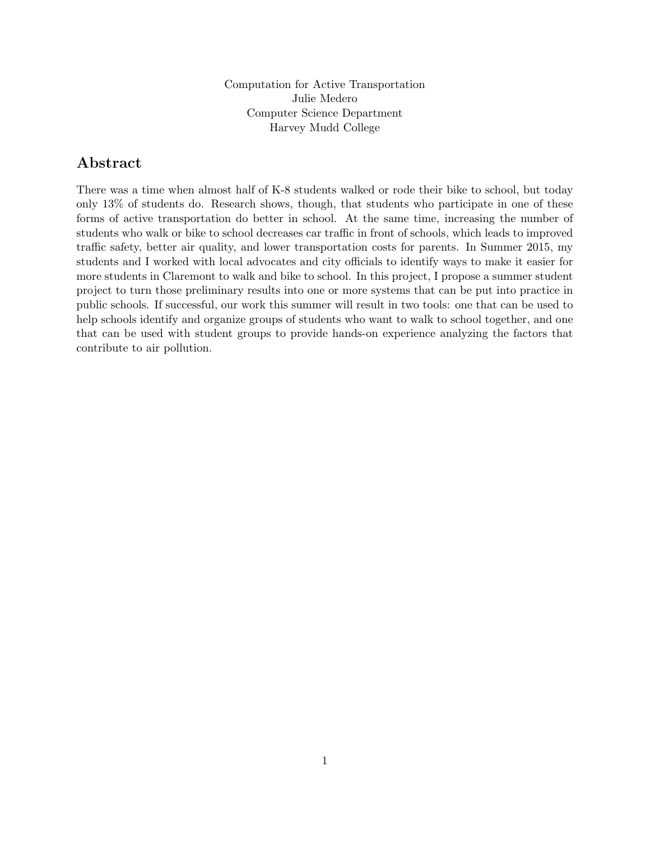Computation for Active Transportation Julie Medero Computer Science Department Harvey Mudd College

# Abstract

There was a time when almost half of K-8 students walked or rode their bike to school, but today only 13% of students do. Research shows, though, that students who participate in one of these forms of active transportation do better in school. At the same time, increasing the number of students who walk or bike to school decreases car traffic in front of schools, which leads to improved traffic safety, better air quality, and lower transportation costs for parents. In Summer 2015, my students and I worked with local advocates and city officials to identify ways to make it easier for more students in Claremont to walk and bike to school. In this project, I propose a summer student project to turn those preliminary results into one or more systems that can be put into practice in public schools. If successful, our work this summer will result in two tools: one that can be used to help schools identify and organize groups of students who want to walk to school together, and one that can be used with student groups to provide hands-on experience analyzing the factors that contribute to air pollution.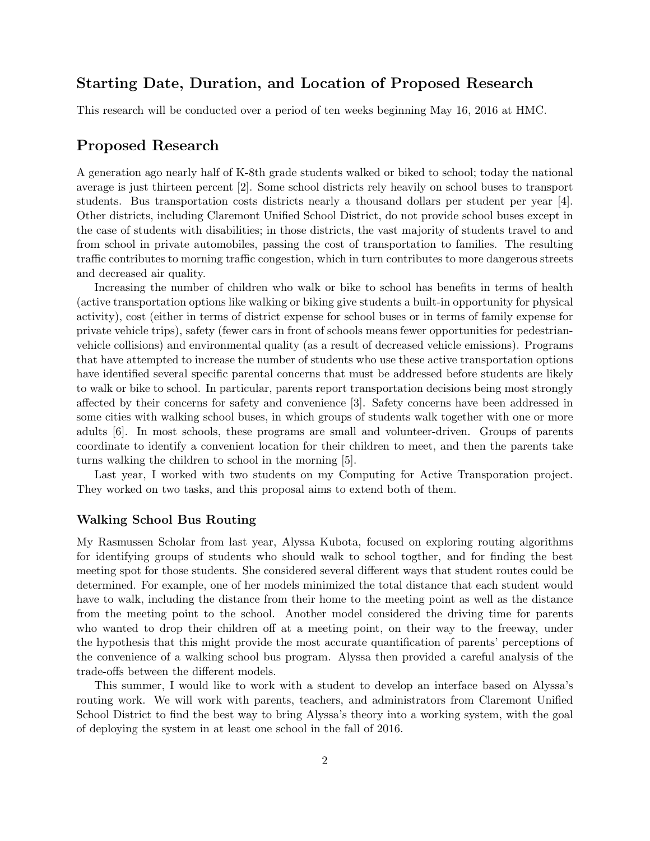## Starting Date, Duration, and Location of Proposed Research

This research will be conducted over a period of ten weeks beginning May 16, 2016 at HMC.

## Proposed Research

A generation ago nearly half of K-8th grade students walked or biked to school; today the national average is just thirteen percent [2]. Some school districts rely heavily on school buses to transport students. Bus transportation costs districts nearly a thousand dollars per student per year [4]. Other districts, including Claremont Unified School District, do not provide school buses except in the case of students with disabilities; in those districts, the vast majority of students travel to and from school in private automobiles, passing the cost of transportation to families. The resulting traffic contributes to morning traffic congestion, which in turn contributes to more dangerous streets and decreased air quality.

Increasing the number of children who walk or bike to school has benefits in terms of health (active transportation options like walking or biking give students a built-in opportunity for physical activity), cost (either in terms of district expense for school buses or in terms of family expense for private vehicle trips), safety (fewer cars in front of schools means fewer opportunities for pedestrianvehicle collisions) and environmental quality (as a result of decreased vehicle emissions). Programs that have attempted to increase the number of students who use these active transportation options have identified several specific parental concerns that must be addressed before students are likely to walk or bike to school. In particular, parents report transportation decisions being most strongly affected by their concerns for safety and convenience [3]. Safety concerns have been addressed in some cities with walking school buses, in which groups of students walk together with one or more adults [6]. In most schools, these programs are small and volunteer-driven. Groups of parents coordinate to identify a convenient location for their children to meet, and then the parents take turns walking the children to school in the morning [5].

Last year, I worked with two students on my Computing for Active Transporation project. They worked on two tasks, and this proposal aims to extend both of them.

#### Walking School Bus Routing

My Rasmussen Scholar from last year, Alyssa Kubota, focused on exploring routing algorithms for identifying groups of students who should walk to school togther, and for finding the best meeting spot for those students. She considered several different ways that student routes could be determined. For example, one of her models minimized the total distance that each student would have to walk, including the distance from their home to the meeting point as well as the distance from the meeting point to the school. Another model considered the driving time for parents who wanted to drop their children off at a meeting point, on their way to the freeway, under the hypothesis that this might provide the most accurate quantification of parents' perceptions of the convenience of a walking school bus program. Alyssa then provided a careful analysis of the trade-offs between the different models.

This summer, I would like to work with a student to develop an interface based on Alyssa's routing work. We will work with parents, teachers, and administrators from Claremont Unified School District to find the best way to bring Alyssa's theory into a working system, with the goal of deploying the system in at least one school in the fall of 2016.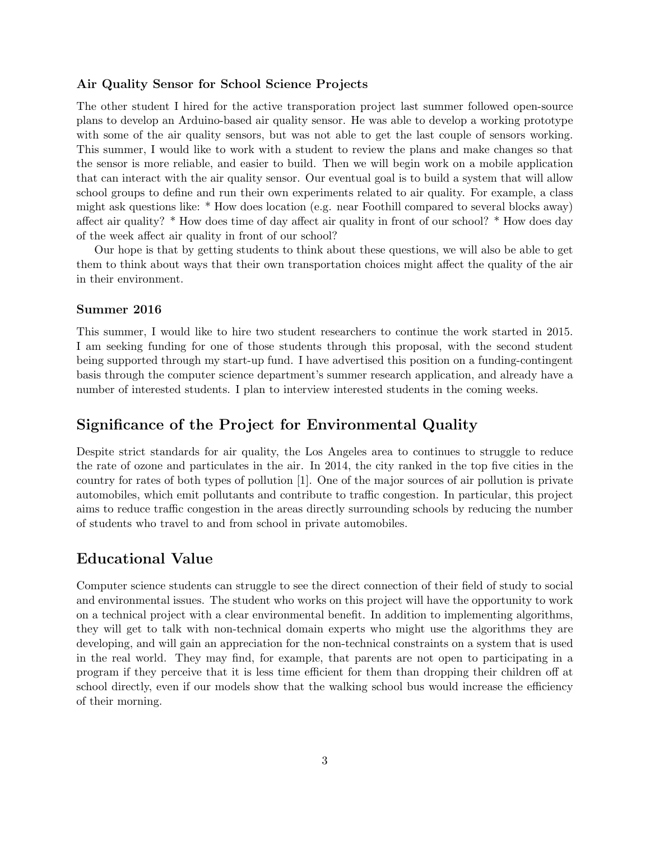#### Air Quality Sensor for School Science Projects

The other student I hired for the active transporation project last summer followed open-source plans to develop an Arduino-based air quality sensor. He was able to develop a working prototype with some of the air quality sensors, but was not able to get the last couple of sensors working. This summer, I would like to work with a student to review the plans and make changes so that the sensor is more reliable, and easier to build. Then we will begin work on a mobile application that can interact with the air quality sensor. Our eventual goal is to build a system that will allow school groups to define and run their own experiments related to air quality. For example, a class might ask questions like: \* How does location (e.g. near Foothill compared to several blocks away) affect air quality? \* How does time of day affect air quality in front of our school? \* How does day of the week affect air quality in front of our school?

Our hope is that by getting students to think about these questions, we will also be able to get them to think about ways that their own transportation choices might affect the quality of the air in their environment.

#### Summer 2016

This summer, I would like to hire two student researchers to continue the work started in 2015. I am seeking funding for one of those students through this proposal, with the second student being supported through my start-up fund. I have advertised this position on a funding-contingent basis through the computer science department's summer research application, and already have a number of interested students. I plan to interview interested students in the coming weeks.

### Significance of the Project for Environmental Quality

Despite strict standards for air quality, the Los Angeles area to continues to struggle to reduce the rate of ozone and particulates in the air. In 2014, the city ranked in the top five cities in the country for rates of both types of pollution [1]. One of the major sources of air pollution is private automobiles, which emit pollutants and contribute to traffic congestion. In particular, this project aims to reduce traffic congestion in the areas directly surrounding schools by reducing the number of students who travel to and from school in private automobiles.

### Educational Value

Computer science students can struggle to see the direct connection of their field of study to social and environmental issues. The student who works on this project will have the opportunity to work on a technical project with a clear environmental benefit. In addition to implementing algorithms, they will get to talk with non-technical domain experts who might use the algorithms they are developing, and will gain an appreciation for the non-technical constraints on a system that is used in the real world. They may find, for example, that parents are not open to participating in a program if they perceive that it is less time efficient for them than dropping their children off at school directly, even if our models show that the walking school bus would increase the efficiency of their morning.